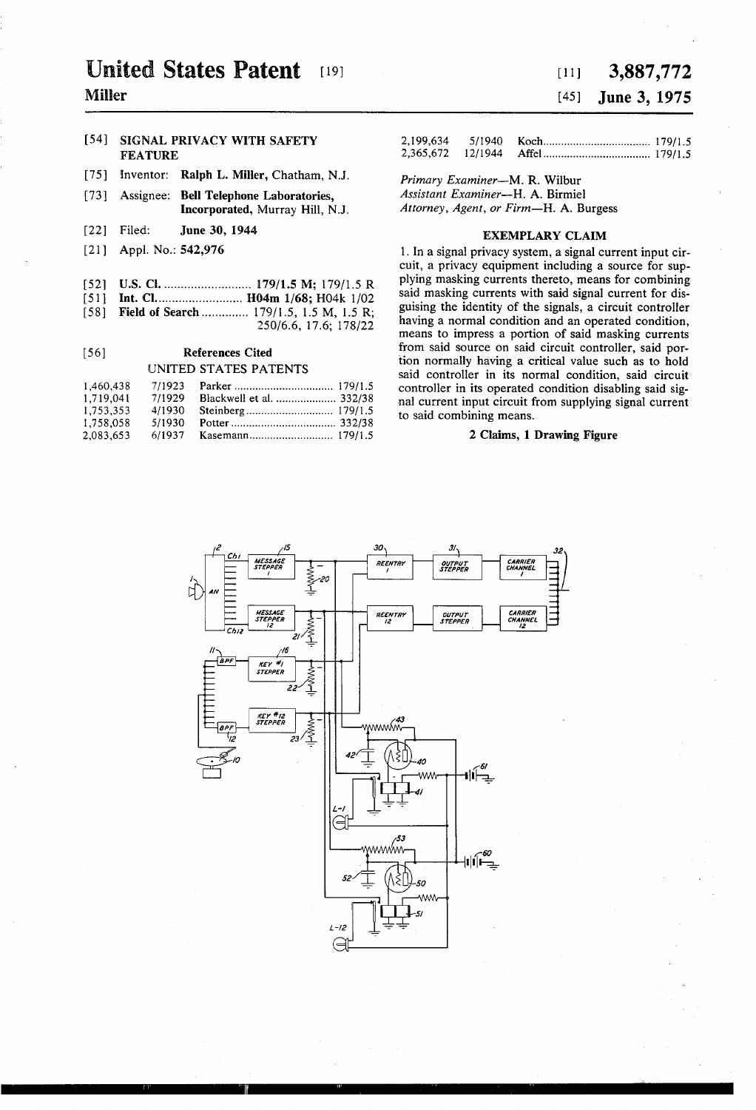# **United States Patent** [19]

# Miller

## [54] SIGNAL PRIVACY WITH SAFETY FEATURE

- [75] Inventor: Ralph L. Miller, Chatham, N.J.
- [73] Assignee: Bell Telephone Laboratories, Incorporated, Murray Hill, NJ.
- [22] Filed: **June 30, 1944**
- [21] Appl. No.: **542,976**
- 
- - -

| - - - - - - - - - |        |                          | computed in the op-  |
|-------------------|--------|--------------------------|----------------------|
| 1.719,041         | 7/1929 | Blackwell et al.  332/38 | nal current input ci |
| 1,753,353         |        |                          | to said combining r  |
| 1.758.058         |        |                          |                      |
| 2,083,653         |        |                          | 2 Clai               |

# [11] 3,887,772 [45] June 3, 1975

| 2.199.634 |  |  |
|-----------|--|--|
|           |  |  |

Primary Examiner-M. R. Wilbur Assistant Examiner-H. A. Birmiel Attorney, Agent, or Firm-H. A. Burgess

### EXEMPLARY CLAIM

1. In a signal privacy system, a signal current input cir cuit, a privacy equipment including a source for sup plying masking currents thereto, means for combining [52] US. 'Cl. ........................ .. l79/1.5 M; 179/15 R . . . . . . [51] Int. Cl ........................ .. H04m 1/68; H04k 1/02 sa'.d.maskm.g "Vents Wm' iald s'gnalFurFem for '115' [58] Field of Search .............. 179/1.5, 1.5 M, 1.5 R; guising the identity of the signals, a circuit controller  $250/6.6$ , 17.6; 178/22 having a normal condition and an operated condition, means to impress a portion of said masking currents [56] References Cited from said source on said circuit controller, said por-**EXECUTED STATES PATENTS** (and normally having a critical value such as to hold controller in its normal condition coid circuit. UNITED STATES PATENTS said controller in its normal condition, said circuit' 1,460,438 Parker ......... .., ................... .. 179/15 Controller in Operated condition Said Sig nal current input circuit from supplying signal current to said combining means.

# 2 Claims, 1 Drawing Figure

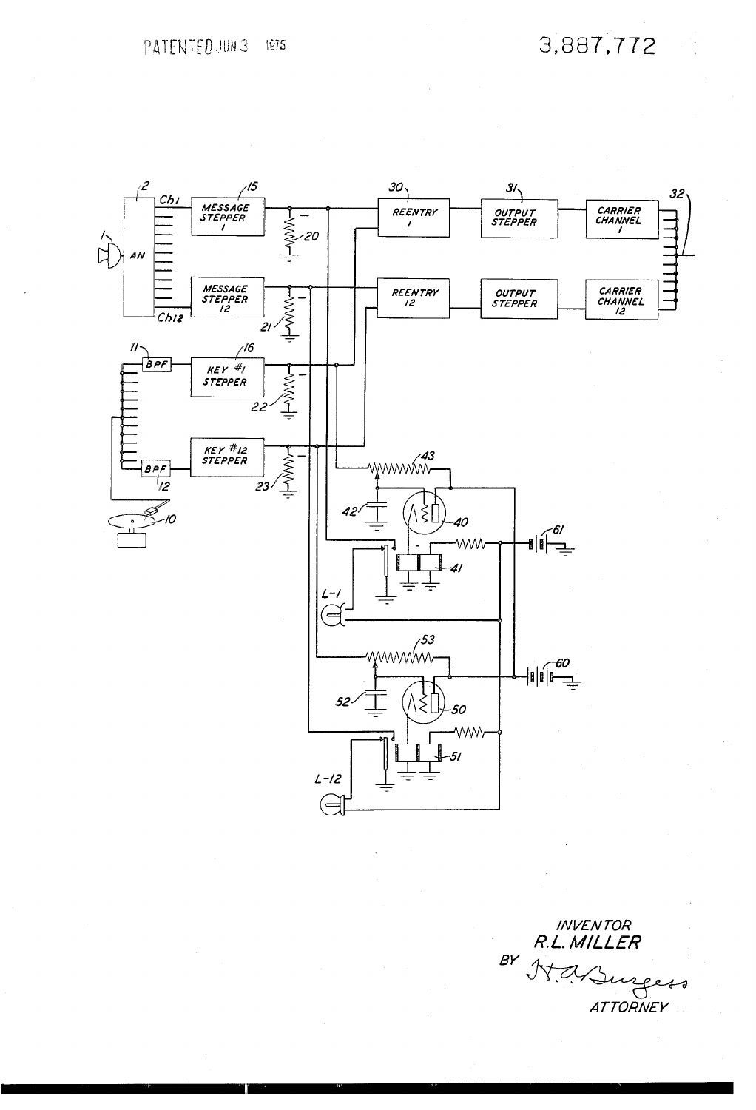3,887,772



INVENTOR<br>R.L. MILLER A Surgess  $BY$  $J\forall$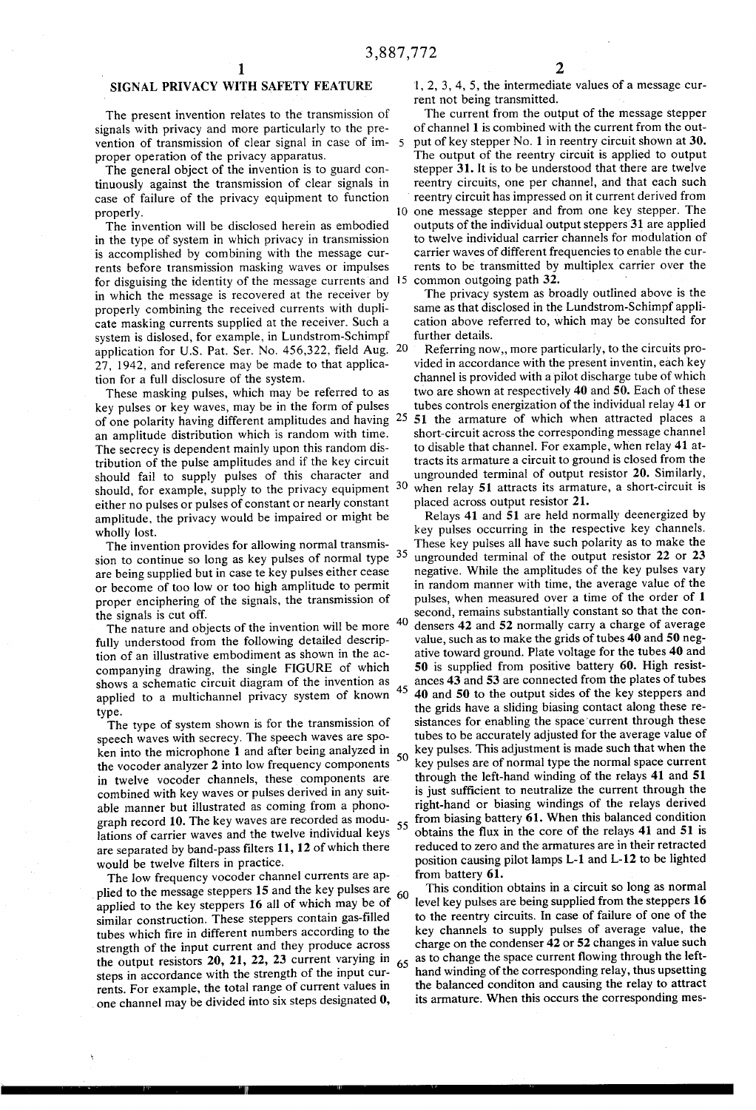## SIGNAL PRIVACY WITH SAFETY FEATURE

The present invention relates to the transmission of signals with privacy and more particularly to the pre vention of transmission of clear signal in case of im proper operation of the privacy apparatus.

The general object of the invention is to guard con tinuously against the transmission of clear signals in case of failure of the privacy equipment to function properly.

The invention will be disclosed herein as embodied in the type of system in which privacy in transmission is accomplished by combining with the message cur rents before transmission masking waves or impulses for disguising the identity of the message currents and  $15$  common outgoing path 32. in which the message is recovered at the receiver by properly combining the received currents with dupli cate masking currents supplied at the receiver. Such a system is dislosed, for example, in Lundstrom-Schimpf application for U.S. Pat. Ser. No. 456,322, field Aug. 20 27, 1942, and reference may be made to that applica tion for a full disclosure of the system.

These masking pulses, which may be referred to as key pulses or key waves, may be in the form of pulses an amplitude distribution which is random with time. The secrecy is dependent mainly upon this random dis tribution of the pulse amplitudes and if the key circuit should fail to supply pulses of this character and should, for example, supply to the privacy equipment 30 either no pulses or pulses of constant or nearly constant amplitude, the privacy would be impaired or might be wholly lost. of one polarity having different amplitudes and having 25

The invention provides for allowing normal transmis sion to continue so long as key pulses of normal type  $35$ are being supplied but in case te key pulses either cease or become of too low or too high amplitude to permit proper enciphering of the signals, the transmission of the signals is cut off.

The nature and objects of the invention will be more  $40$ fully understood from the following detailed descrip tion of an illustrative embodiment as shown in the ac companying drawing, the single FIGURE of which shows a schematic circuit diagram of the invention as applied to a multichannel privacy system of known type.

The type of system shown is for the transmission of speech waves with secrecy. The speech waves are spo ken into the microphone 1 and after being analyzed in ken into the microphone  $\overline{1}$  and after being analyzed in  $\overline{50}$ <br>the vocoder analyzer 2 into low frequency components in twelve vocoder channels, these components are combined with key waves or pulses derived in any suit able manner but illustrated as coming from a phono graph record 10. The key waves are recorded as modu lations of carrier waves and the twelve individual keys are separated by band-pass filters 11, 12 of which there would be twelve filters in practice.

The low frequency vocoder channel currents are ap plied to the message steppers 15 and the key pulses are applied to the key steppers 16 all of which may be of similar construction. These steppers contain gas-filled tubes which fire in different numbers according to the strength of the input current and they produce across the output resistors 20, 21, 22, 23 current varying in steps in accordance with the strength of the input cur rents. For example, the total range of current values in . one channel may be divided into six steps designated 0, 60 65

 $1, 2, 3, 4, 5$ , the intermediate values of a message current not being transmitted.

The current from the output of the message stepper of channel 1 is combined with the current from the out put of key stepper No. 1 in reentry circuit shown at 30. The output of the reentry circuit is applied to output stepper 31. It is to be understood that there are twelve reentry circuits, one per channel, and that each such reentry circuit has impressed on it current derived from 10 one message stepper and from one key stepper. The outputs of the individual output steppers 31 are applied to twelve individual carrier channels for modulation of carrier waves of different frequencies to enable the cur rents to be transmitted by multiplex carrier over the

The privacy system as broadly outlined above is the same as that disclosed in the Lundstrom-Schimpf appli cation above referred to, which may be consulted for further details.

Referring now,, more particularly, to the circuits pro vided in accordance with the present inventin, each key channel is provided with a pilot discharge tube of which two are shown at respectively 40 and 50. Each of these tubes controls energization of the individual relay 41 or 51 the armature of which when attracted places a short-circuit across the corresponding message channel to disable that channel. For example, when relay 41 at tracts its armature a circuit to ground is closed from the ungrounded terminal of output resistor 20. Similarly, when relay 51 attracts its armature, a short-circuit is placed across output resistor 21.

45 55 Relays 41 and 51 are held normally deenergized by key pulses occurring in the respective key channels. These key pulses all have such polarity as to make the ungrounded terminal of the output resistor 22 or 23 negative. While the amplitudes of the key pulses vary in random manner with time, the average value of the pulses, when measured over a time of the order of 1 second, remains substantially constant so that the con densers 42 and 52 normally carry a charge of average value, such as to make the grids of tubes 40 and 50 neg ative toward ground. Plate voltage for the tubes 40 and 50 is supplied from positive battery 60. High resistances 43 and 53 are connected from the plates of tubes 40 and 50 to the output sides of the key steppers and the grids have a sliding biasing contact along these re sistances for enabling the space'current through these tubes to be accurately adjusted for the average value of key pulses. This adjustment is made such that when the key pulses are of normal type the normal space current through the left-hand winding of the relays 41 and 51 is just sufficient to neutralize the current through the right-hand or biasing windings of the relays derived from biasing battery 61. When this balanced condition obtains the flux in the core of the relays 41 and 51 is reduced to zero and the armatures are in their retracted position causing pilot lamps L-l and L-l2 to be lighted from battery 61.

This condition obtains in a circuit so long as normal level key pulses are being supplied from the steppers 16 to the reentry circuits. In case of failure of one of the key channels to supply pulses of average value, the charge on the condenser 42 or 52 changes in value such as to change the space current flowing through the lefthand winding of the corresponding relay, thus upsetting the balanced conditon and causing the relay to attract its armature. When this occurs the corresponding mes